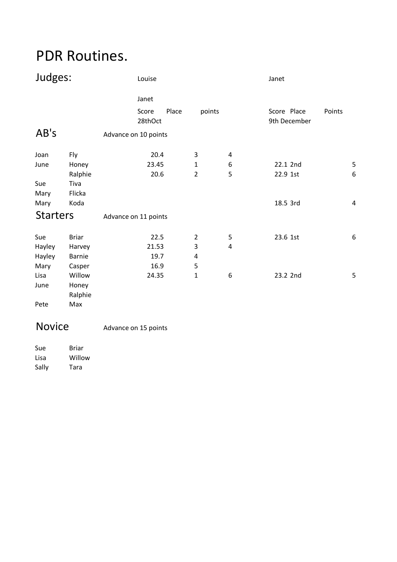## PDR Routines.

| Janet                                                 |                                       |
|-------------------------------------------------------|---------------------------------------|
| Place<br>points<br>Score<br>28thOct                   | Score Place<br>Points<br>9th December |
| AB's<br>Advance on 10 points                          |                                       |
| 20.4<br>3<br>Joan<br>Fly<br>4                         |                                       |
| 23.45<br>1<br>6<br>June<br>Honey                      | 5<br>22.1 2nd                         |
| 20.6<br>$\overline{2}$<br>5<br>Ralphie                | $\boldsymbol{6}$<br>22.9 1st          |
| Sue<br>Tiva                                           |                                       |
| Flicka<br>Mary                                        |                                       |
| Koda<br>Mary                                          | 18.5 3rd<br>$\overline{4}$            |
| <b>Starters</b><br>Advance on 11 points               |                                       |
| 5<br>Sue<br><b>Briar</b><br>22.5<br>$\overline{2}$    | 23.6 1st<br>6                         |
| $\mathsf 3$<br>Hayley<br>21.53<br>$\pmb{4}$<br>Harvey |                                       |
| Hayley<br>19.7<br><b>Barnie</b><br>4                  |                                       |
| 5<br>16.9<br>Mary<br>Casper                           |                                       |
| 24.35<br>$\mathbf 1$<br>6<br>Lisa<br>Willow           | 23.2 2nd<br>5                         |
| June<br>Honey                                         |                                       |
| Ralphie                                               |                                       |
| Max<br>Pete                                           |                                       |

## Novice Advance on 15 points

| Sue   | Briar  |
|-------|--------|
| Lisa  | Willow |
| Sally | Tara   |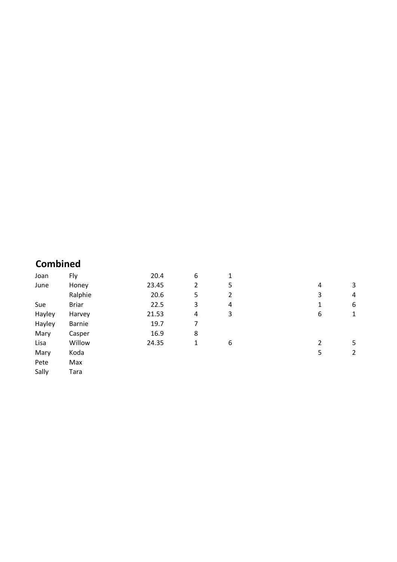## **Combined**

| Joan   | Fly          | 20.4  | 6 | 1 |   |   |
|--------|--------------|-------|---|---|---|---|
| June   | Honey        | 23.45 | 2 | 5 | 4 | 3 |
|        | Ralphie      | 20.6  | 5 | 2 | 3 | 4 |
| Sue    | <b>Briar</b> | 22.5  | 3 | 4 | 1 | 6 |
| Hayley | Harvey       | 21.53 | 4 | 3 | 6 | 1 |
| Hayley | Barnie       | 19.7  | 7 |   |   |   |
| Mary   | Casper       | 16.9  | 8 |   |   |   |
| Lisa   | Willow       | 24.35 | 1 | 6 | 2 | 5 |
| Mary   | Koda         |       |   |   | 5 | 2 |
| Pete   | Max          |       |   |   |   |   |
| Sally  | Tara         |       |   |   |   |   |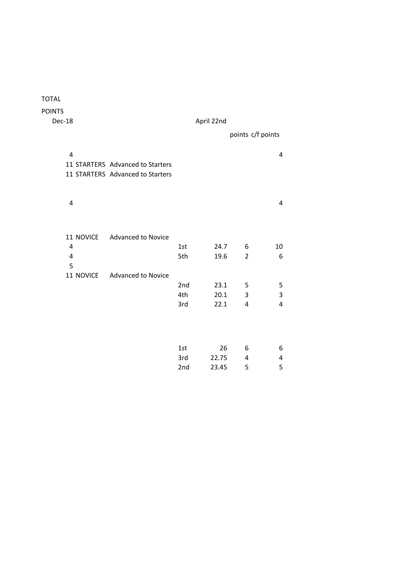| Dec-18              |                                  | April 22nd |       |                |                   |
|---------------------|----------------------------------|------------|-------|----------------|-------------------|
|                     |                                  |            |       |                | points c/f points |
| 4                   |                                  |            |       |                | 4                 |
|                     | 11 STARTERS Advanced to Starters |            |       |                |                   |
|                     | 11 STARTERS Advanced to Starters |            |       |                |                   |
| 4                   |                                  |            |       |                | 4                 |
|                     |                                  |            |       |                |                   |
| 11 NOVICE           | <b>Advanced to Novice</b>        |            |       |                |                   |
| 4                   |                                  | 1st        | 24.7  | 6              | 10                |
| $\overline{a}$<br>5 |                                  | 5th        | 19.6  | $\overline{2}$ | 6                 |
| 11 NOVICE           | <b>Advanced to Novice</b>        |            |       |                |                   |
|                     |                                  | 2nd        | 23.1  | 5              | 5                 |
|                     |                                  | 4th        | 20.1  | 3              | 3                 |
|                     |                                  | 3rd        | 22.1  | 4              | 4                 |
|                     |                                  |            |       |                |                   |
|                     |                                  | 1st        | 26    | 6              | 6                 |
|                     |                                  | 3rd        | 22.75 | 4              | 4                 |
|                     |                                  | 2nd        | 23.45 | 5              | 5                 |

TOTAL POINTS